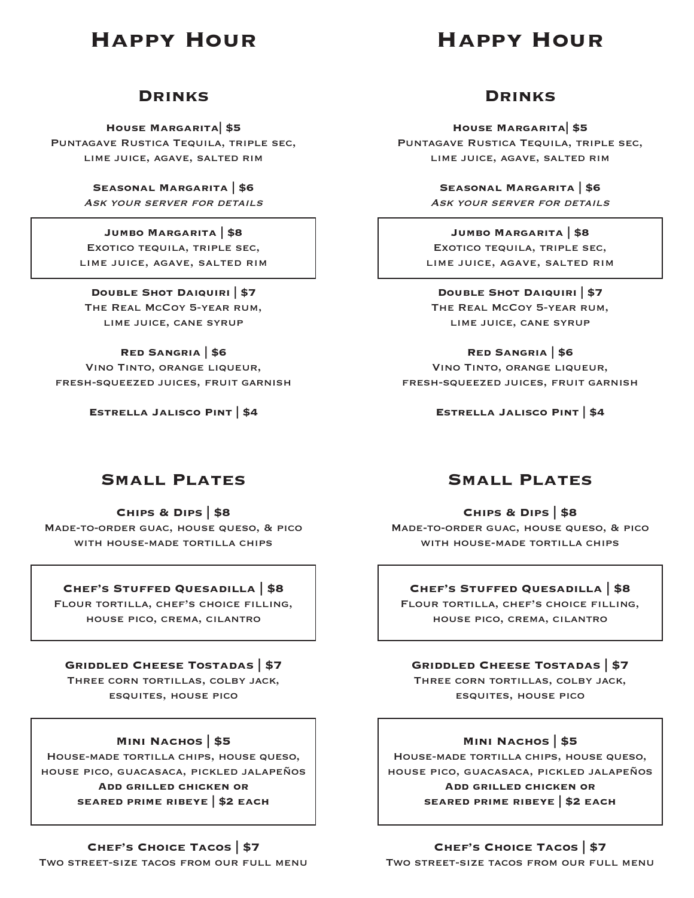# **Happy Hour**

# **Happy Hour**

### **Drinks**

**House Margarita| \$5** Puntagave Rustica Tequila, triple sec, lime juice, agave, salted rim

> **Seasonal Margarita | \$6** ASK YOUR SERVER FOR DETAILS

### **Jumbo Margarita | \$8**

Exotico tequila, triple sec, lime juice, agave, salted rim

## **Double Shot Daiquiri | \$7**

The Real McCoy 5-year rum, lime juice, cane syrup

#### **Red Sangria | \$6**

Vino Tinto, orange liqueur, fresh-squeezed juices, fruit garnish

**Estrella Jalisco Pint | \$4**

## **Drinks**

**House Margarita| \$5** Puntagave Rustica Tequila, triple sec, lime juice, agave, salted rim

> **Seasonal Margarita | \$6** ASK YOUR SERVER FOR DETAILS

**Jumbo Margarita | \$8** Exotico tequila, triple sec, lime juice, agave, salted rim

**Double Shot Daiquiri | \$7** The Real McCoy 5-year rum, lime juice, cane syrup

**Red Sangria | \$6** Vino Tinto, orange liqueur, fresh-squeezed juices, fruit garnish

**Estrella Jalisco Pint | \$4**

## **Small Plates**

**Chips & Dips | \$8** Made-to-order guac, house queso, & pico WITH HOUSE-MADE TORTILLA CHIPS

#### **Chef's Stuffed Quesadilla | \$8**

Flour tortilla, chef's choice filling, house pico, crema, cilantro

#### **Griddled Cheese Tostadas | \$7**

Three corn tortillas, colby jack, esquites, house pico

#### **Mini Nachos | \$5**

House-made tortilla chips, house queso, house pico, guacasaca, pickled jalapeños **Add grilled chicken or seared prime ribeye | \$2 each**

#### **Chef's Choice Tacos | \$7**

Two street-size tacos from our full menu

## **Small Plates**

**Chips & Dips | \$8** Made-to-order guac, house queso, & pico WITH HOUSE-MADE TORTILLA CHIPS

### **Chef's Stuffed Quesadilla | \$8**

Flour tortilla, chef's choice filling, house pico, crema, cilantro

### **Griddled Cheese Tostadas | \$7**

Three corn tortillas, colby jack, esquites, house pico

### **Mini Nachos | \$5**

House-made tortilla chips, house queso, house pico, guacasaca, pickled jalapeños **Add grilled chicken or** 

**seared prime ribeye | \$2 each**

**Chef's Choice Tacos | \$7** Two street-size tacos from our full menu